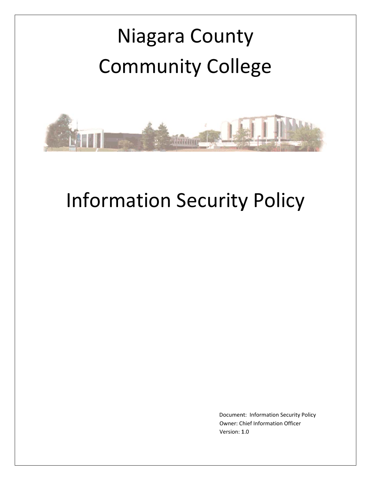# Community College Niagara County



## Information Security Policy

Document: Information Security Policy Owner: Chief Information Officer Version: 1 1.0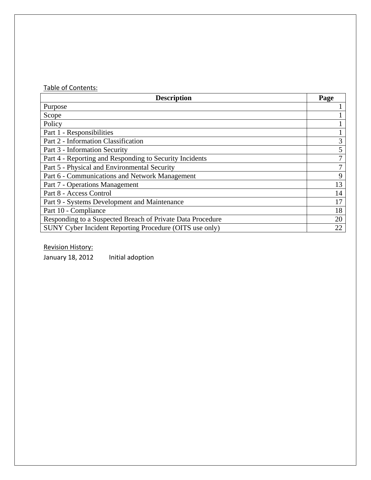#### Table of Contents:

| <b>Description</b>                                         |   |  |
|------------------------------------------------------------|---|--|
| Purpose                                                    |   |  |
| Scope                                                      |   |  |
| Policy                                                     |   |  |
| Part 1 - Responsibilities                                  |   |  |
| Part 2 - Information Classification                        | 3 |  |
| Part 3 - Information Security                              | 5 |  |
| Part 4 - Reporting and Responding to Security Incidents    |   |  |
| Part 5 - Physical and Environmental Security               |   |  |
| Part 6 - Communications and Network Management             |   |  |
| Part 7 - Operations Management                             |   |  |
| Part 8 - Access Control                                    |   |  |
| Part 9 - Systems Development and Maintenance               |   |  |
| Part 10 - Compliance                                       |   |  |
| Responding to a Suspected Breach of Private Data Procedure |   |  |
| SUNY Cyber Incident Reporting Procedure (OITS use only)    |   |  |

Revision History:

January 18, 2012 Initial adoption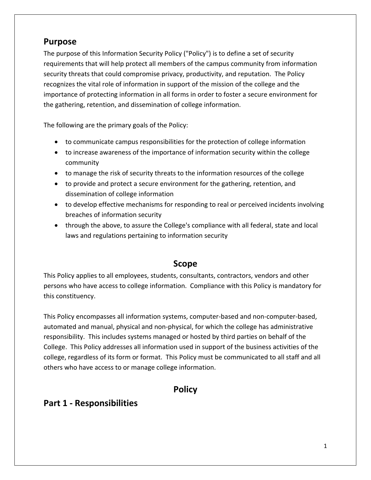### **Purpose**

The purpose of this Information Security Policy ("Policy") is to define a set of security requirements that will help protect all members of the campus community from information security threats that could compromise privacy, productivity, and reputation. The Policy recognizes the vital role of information in support of the mission of the college and the importance of protecting information in all forms in order to foster a secure environment for the gathering, retention, and dissemination of college information.

The following are the primary goals of the Policy:

- to communicate campus responsibilities for the protection of college information
- to increase awareness of the importance of information security within the college community
- to manage the risk of security threats to the information resources of the college
- to provide and protect a secure environment for the gathering, retention, and dissemination of college information
- to develop effective mechanisms for responding to real or perceived incidents involving breaches of information security
- through the above, to assure the College's compliance with all federal, state and local laws and regulations pertaining to information security

#### **Scope**

This Policy applies to all employees, students, consultants, contractors, vendors and other persons who have access to college information. Compliance with this Policy is mandatory for this constituency.

This Policy encompasses all information systems, computer‐based and non‐computer‐based, automated and manual, physical and non‐physical, for which the college has administrative responsibility. This includes systems managed or hosted by third parties on behalf of the College. This Policy addresses all information used in support of the business activities of the college, regardless of its form or format. This Policy must be communicated to all staff and all others who have access to or manage college information.

## **Policy**

## **Part 1 ‐ Responsibilities**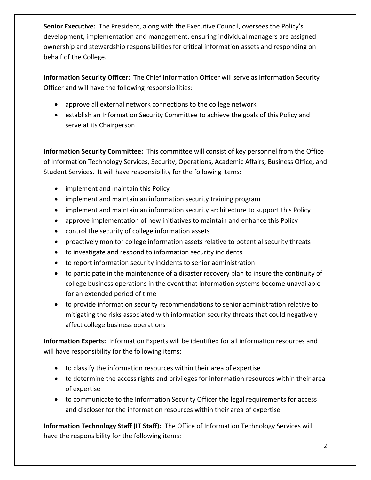**Senior Executive:** The President, along with the Executive Council, oversees the Policy's development, implementation and management, ensuring individual managers are assigned ownership and stewardship responsibilities for critical information assets and responding on behalf of the College.

**Information Security Officer:** The Chief Information Officer will serve as Information Security Officer and will have the following responsibilities:

- approve all external network connections to the college network
- establish an Information Security Committee to achieve the goals of this Policy and serve at its Chairperson

**Information Security Committee:** This committee will consist of key personnel from the Office of Information Technology Services, Security, Operations, Academic Affairs, Business Office, and Student Services. It will have responsibility for the following items:

- implement and maintain this Policy
- implement and maintain an information security training program
- implement and maintain an information security architecture to support this Policy
- approve implementation of new initiatives to maintain and enhance this Policy
- control the security of college information assets
- proactively monitor college information assets relative to potential security threats
- to investigate and respond to information security incidents
- to report information security incidents to senior administration
- to participate in the maintenance of a disaster recovery plan to insure the continuity of college business operations in the event that information systems become unavailable for an extended period of time
- to provide information security recommendations to senior administration relative to mitigating the risks associated with information security threats that could negatively affect college business operations

**Information Experts:** Information Experts will be identified for all information resources and will have responsibility for the following items:

- to classify the information resources within their area of expertise
- to determine the access rights and privileges for information resources within their area of expertise
- to communicate to the Information Security Officer the legal requirements for access and discloser for the information resources within their area of expertise

**Information Technology Staff (IT Staff):** The Office of Information Technology Services will have the responsibility for the following items: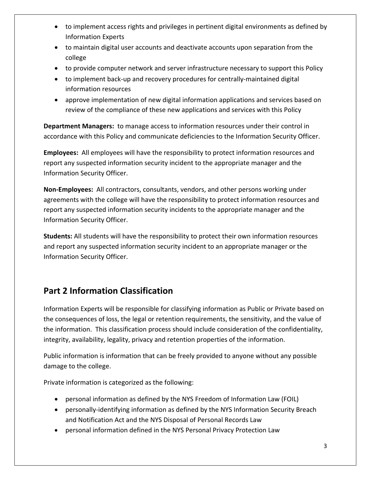- to implement access rights and privileges in pertinent digital environments as defined by Information Experts
- to maintain digital user accounts and deactivate accounts upon separation from the college
- to provide computer network and server infrastructure necessary to support this Policy
- to implement back‐up and recovery procedures for centrally‐maintained digital information resources
- approve implementation of new digital information applications and services based on review of the compliance of these new applications and services with this Policy

**Department Managers:** to manage access to information resources under their control in accordance with this Policy and communicate deficiencies to the Information Security Officer.

**Employees:** All employees will have the responsibility to protect information resources and report any suspected information security incident to the appropriate manager and the Information Security Officer.

**Non‐Employees:** All contractors, consultants, vendors, and other persons working under agreements with the college will have the responsibility to protect information resources and report any suspected information security incidents to the appropriate manager and the Information Security Officer.

**Students:** All students will have the responsibility to protect their own information resources and report any suspected information security incident to an appropriate manager or the Information Security Officer.

## **Part 2 Information Classification**

Information Experts will be responsible for classifying information as Public or Private based on the consequences of loss, the legal or retention requirements, the sensitivity, and the value of the information. This classification process should include consideration of the confidentiality, integrity, availability, legality, privacy and retention properties of the information.

Public information is information that can be freely provided to anyone without any possible damage to the college.

Private information is categorized as the following:

- personal information as defined by the NYS Freedom of Information Law (FOIL)
- personally-identifying information as defined by the NYS Information Security Breach and Notification Act and the NYS Disposal of Personal Records Law
- personal information defined in the NYS Personal Privacy Protection Law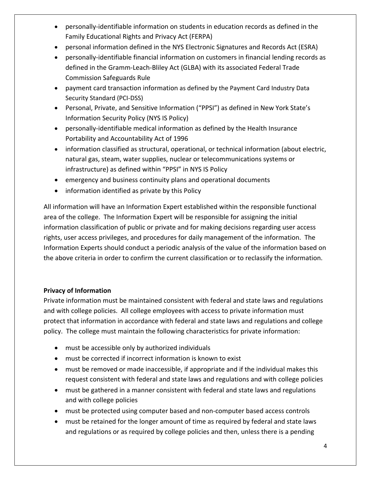- personally-identifiable information on students in education records as defined in the Family Educational Rights and Privacy Act (FERPA)
- personal information defined in the NYS Electronic Signatures and Records Act (ESRA)
- personally‐identifiable financial information on customers in financial lending records as defined in the Gramm‐Leach‐Bliley Act (GLBA) with its associated Federal Trade Commission Safeguards Rule
- payment card transaction information as defined by the Payment Card Industry Data Security Standard (PCI‐DSS)
- Personal, Private, and Sensitive Information ("PPSI") as defined in New York State's Information Security Policy (NYS IS Policy)
- personally-identifiable medical information as defined by the Health Insurance Portability and Accountability Act of 1996
- information classified as structural, operational, or technical information (about electric, natural gas, steam, water supplies, nuclear or telecommunications systems or infrastructure) as defined within "PPSI" in NYS IS Policy
- emergency and business continuity plans and operational documents
- information identified as private by this Policy

All information will have an Information Expert established within the responsible functional area of the college. The Information Expert will be responsible for assigning the initial information classification of public or private and for making decisions regarding user access rights, user access privileges, and procedures for daily management of the information. The Information Experts should conduct a periodic analysis of the value of the information based on the above criteria in order to confirm the current classification or to reclassify the information.

#### **Privacy of Information**

Private information must be maintained consistent with federal and state laws and regulations and with college policies. All college employees with access to private information must protect that information in accordance with federal and state laws and regulations and college policy. The college must maintain the following characteristics for private information:

- must be accessible only by authorized individuals
- must be corrected if incorrect information is known to exist
- must be removed or made inaccessible, if appropriate and if the individual makes this request consistent with federal and state laws and regulations and with college policies
- must be gathered in a manner consistent with federal and state laws and regulations and with college policies
- must be protected using computer based and non-computer based access controls
- must be retained for the longer amount of time as required by federal and state laws and regulations or as required by college policies and then, unless there is a pending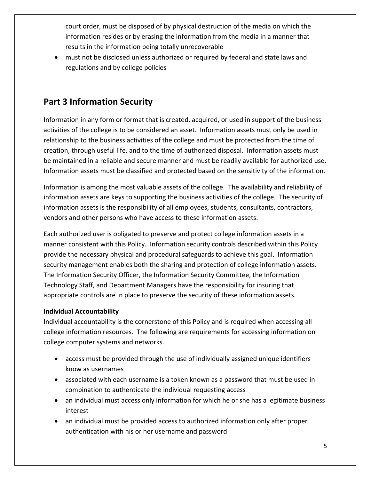court order, must be disposed of by physical destruction of the media on which the information resides or by erasing the information from the media in a manner that results in the information being totally unrecoverable

 must not be disclosed unless authorized or required by federal and state laws and regulations and by college policies

## **Part 3 Information Security**

Information in any form or format that is created, acquired, or used in support of the business activities of the college is to be considered an asset. Information assets must only be used in relationship to the business activities of the college and must be protected from the time of creation, through useful life, and to the time of authorized disposal. Information assets must be maintained in a reliable and secure manner and must be readily available for authorized use. Information assets must be classified and protected based on the sensitivity of the information.

Information is among the most valuable assets of the college. The availability and reliability of information assets are keys to supporting the business activities of the college. The security of information assets is the responsibility of all employees, students, consultants, contractors, vendors and other persons who have access to these information assets.

Each authorized user is obligated to preserve and protect college information assets in a manner consistent with this Policy. Information security controls described within this Policy provide the necessary physical and procedural safeguards to achieve this goal. Information security management enables both the sharing and protection of college information assets. The Information Security Officer, the Information Security Committee, the Information Technology Staff, and Department Managers have the responsibility for insuring that appropriate controls are in place to preserve the security of these information assets.

#### **Individual Accountability**

Individual accountability is the cornerstone of this Policy and is required when accessing all college information resources. The following are requirements for accessing information on college computer systems and networks.

- access must be provided through the use of individually assigned unique identifiers know as usernames
- associated with each username is a token known as a password that must be used in combination to authenticate the individual requesting access
- an individual must access only information for which he or she has a legitimate business interest
- an individual must be provided access to authorized information only after proper authentication with his or her username and password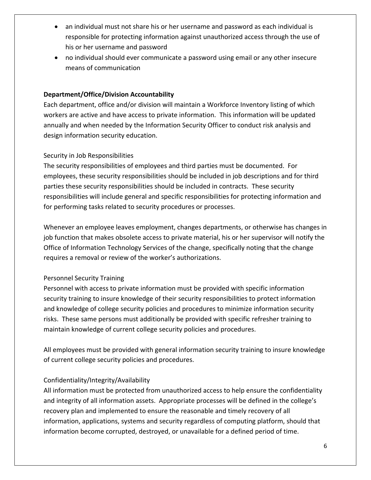- an individual must not share his or her username and password as each individual is responsible for protecting information against unauthorized access through the use of his or her username and password
- no individual should ever communicate a password using email or any other insecure means of communication

#### **Department/Office/Division Accountability**

Each department, office and/or division will maintain a Workforce Inventory listing of which workers are active and have access to private information. This information will be updated annually and when needed by the Information Security Officer to conduct risk analysis and design information security education.

#### Security in Job Responsibilities

The security responsibilities of employees and third parties must be documented. For employees, these security responsibilities should be included in job descriptions and for third parties these security responsibilities should be included in contracts. These security responsibilities will include general and specific responsibilities for protecting information and for performing tasks related to security procedures or processes.

Whenever an employee leaves employment, changes departments, or otherwise has changes in job function that makes obsolete access to private material, his or her supervisor will notify the Office of Information Technology Services of the change, specifically noting that the change requires a removal or review of the worker's authorizations.

#### Personnel Security Training

Personnel with access to private information must be provided with specific information security training to insure knowledge of their security responsibilities to protect information and knowledge of college security policies and procedures to minimize information security risks. These same persons must additionally be provided with specific refresher training to maintain knowledge of current college security policies and procedures.

All employees must be provided with general information security training to insure knowledge of current college security policies and procedures.

#### Confidentiality/Integrity/Availability

All information must be protected from unauthorized access to help ensure the confidentiality and integrity of all information assets. Appropriate processes will be defined in the college's recovery plan and implemented to ensure the reasonable and timely recovery of all information, applications, systems and security regardless of computing platform, should that information become corrupted, destroyed, or unavailable for a defined period of time.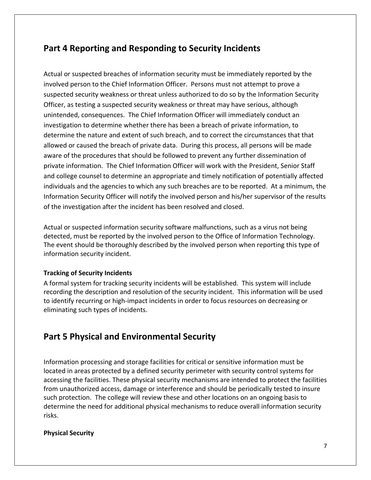## **Part 4 Reporting and Responding to Security Incidents**

Actual or suspected breaches of information security must be immediately reported by the involved person to the Chief Information Officer. Persons must not attempt to prove a suspected security weakness or threat unless authorized to do so by the Information Security Officer, as testing a suspected security weakness or threat may have serious, although unintended, consequences. The Chief Information Officer will immediately conduct an investigation to determine whether there has been a breach of private information, to determine the nature and extent of such breach, and to correct the circumstances that that allowed or caused the breach of private data. During this process, all persons will be made aware of the procedures that should be followed to prevent any further dissemination of private information. The Chief Information Officer will work with the President, Senior Staff and college counsel to determine an appropriate and timely notification of potentially affected individuals and the agencies to which any such breaches are to be reported. At a minimum, the Information Security Officer will notify the involved person and his/her supervisor of the results of the investigation after the incident has been resolved and closed.

Actual or suspected information security software malfunctions, such as a virus not being detected, must be reported by the involved person to the Office of Information Technology. The event should be thoroughly described by the involved person when reporting this type of information security incident.

#### **Tracking of Security Incidents**

A formal system for tracking security incidents will be established. This system will include recording the description and resolution of the security incident. This information will be used to identify recurring or high‐impact incidents in order to focus resources on decreasing or eliminating such types of incidents.

## **Part 5 Physical and Environmental Security**

Information processing and storage facilities for critical or sensitive information must be located in areas protected by a defined security perimeter with security control systems for accessing the facilities. These physical security mechanisms are intended to protect the facilities from unauthorized access, damage or interference and should be periodically tested to insure such protection. The college will review these and other locations on an ongoing basis to determine the need for additional physical mechanisms to reduce overall information security risks.

#### **Physical Security**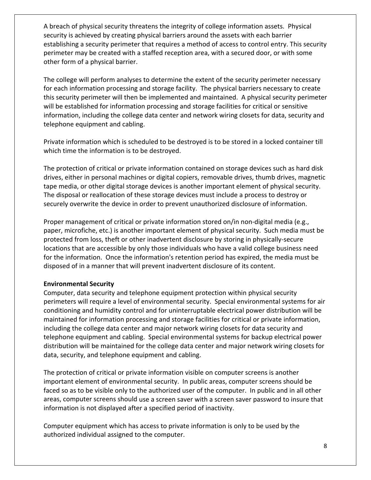A breach of physical security threatens the integrity of college information assets. Physical security is achieved by creating physical barriers around the assets with each barrier establishing a security perimeter that requires a method of access to control entry. This security perimeter may be created with a staffed reception area, with a secured door, or with some other form of a physical barrier.

The college will perform analyses to determine the extent of the security perimeter necessary for each information processing and storage facility. The physical barriers necessary to create this security perimeter will then be implemented and maintained. A physical security perimeter will be established for information processing and storage facilities for critical or sensitive information, including the college data center and network wiring closets for data, security and telephone equipment and cabling.

Private information which is scheduled to be destroyed is to be stored in a locked container till which time the information is to be destroyed.

The protection of critical or private information contained on storage devices such as hard disk drives, either in personal machines or digital copiers, removable drives, thumb drives, magnetic tape media, or other digital storage devices is another important element of physical security. The disposal or reallocation of these storage devices must include a process to destroy or securely overwrite the device in order to prevent unauthorized disclosure of information.

Proper management of critical or private information stored on/in non‐digital media (e.g., paper, microfiche, etc.) is another important element of physical security. Such media must be protected from loss, theft or other inadvertent disclosure by storing in physically‐secure locations that are accessible by only those individuals who have a valid college business need for the information. Once the information's retention period has expired, the media must be disposed of in a manner that will prevent inadvertent disclosure of its content.

#### **Environmental Security**

Computer, data security and telephone equipment protection within physical security perimeters will require a level of environmental security. Special environmental systems for air conditioning and humidity control and for uninterruptable electrical power distribution will be maintained for information processing and storage facilities for critical or private information, including the college data center and major network wiring closets for data security and telephone equipment and cabling. Special environmental systems for backup electrical power distribution will be maintained for the college data center and major network wiring closets for data, security, and telephone equipment and cabling.

The protection of critical or private information visible on computer screens is another important element of environmental security. In public areas, computer screens should be faced so as to be visible only to the authorized user of the computer. In public and in all other areas, computer screens should use a screen saver with a screen saver password to insure that information is not displayed after a specified period of inactivity.

Computer equipment which has access to private information is only to be used by the authorized individual assigned to the computer.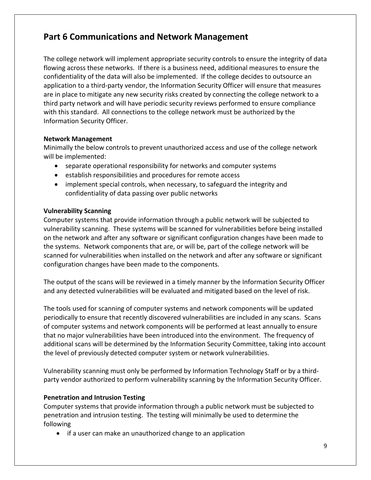## **Part 6 Communications and Network Management**

The college network will implement appropriate security controls to ensure the integrity of data flowing across these networks. If there is a business need, additional measures to ensure the confidentiality of the data will also be implemented. If the college decides to outsource an application to a third‐party vendor, the Information Security Officer will ensure that measures are in place to mitigate any new security risks created by connecting the college network to a third party network and will have periodic security reviews performed to ensure compliance with this standard. All connections to the college network must be authorized by the Information Security Officer.

#### **Network Management**

Minimally the below controls to prevent unauthorized access and use of the college network will be implemented:

- separate operational responsibility for networks and computer systems
- establish responsibilities and procedures for remote access
- implement special controls, when necessary, to safeguard the integrity and confidentiality of data passing over public networks

#### **Vulnerability Scanning**

Computer systems that provide information through a public network will be subjected to vulnerability scanning. These systems will be scanned for vulnerabilities before being installed on the network and after any software or significant configuration changes have been made to the systems. Network components that are, or will be, part of the college network will be scanned for vulnerabilities when installed on the network and after any software or significant configuration changes have been made to the components.

The output of the scans will be reviewed in a timely manner by the Information Security Officer and any detected vulnerabilities will be evaluated and mitigated based on the level of risk.

The tools used for scanning of computer systems and network components will be updated periodically to ensure that recently discovered vulnerabilities are included in any scans. Scans of computer systems and network components will be performed at least annually to ensure that no major vulnerabilities have been introduced into the environment. The frequency of additional scans will be determined by the Information Security Committee, taking into account the level of previously detected computer system or network vulnerabilities.

Vulnerability scanning must only be performed by Information Technology Staff or by a third‐ party vendor authorized to perform vulnerability scanning by the Information Security Officer.

#### **Penetration and Intrusion Testing**

Computer systems that provide information through a public network must be subjected to penetration and intrusion testing.The testing will minimally be used to determine the following

• if a user can make an unauthorized change to an application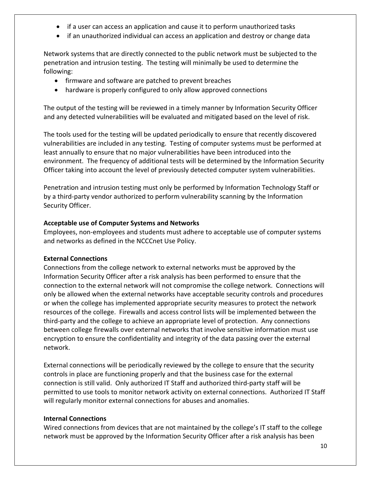- if a user can access an application and cause it to perform unauthorized tasks
- if an unauthorized individual can access an application and destroy or change data

Network systems that are directly connected to the public network must be subjected to the penetration and intrusion testing. The testing will minimally be used to determine the following:

- firmware and software are patched to prevent breaches
- hardware is properly configured to only allow approved connections

The output of the testing will be reviewed in a timely manner by Information Security Officer and any detected vulnerabilities will be evaluated and mitigated based on the level of risk.

The tools used for the testing will be updated periodically to ensure that recently discovered vulnerabilities are included in any testing. Testing of computer systems must be performed at least annually to ensure that no major vulnerabilities have been introduced into the environment. The frequency of additional tests will be determined by the Information Security Officer taking into account the level of previously detected computer system vulnerabilities.

Penetration and intrusion testing must only be performed by Information Technology Staff or by a third‐party vendor authorized to perform vulnerability scanning by the Information Security Officer.

#### **Acceptable use of Computer Systems and Networks**

Employees, non‐employees and students must adhere to acceptable use of computer systems and networks as defined in the NCCCnet Use Policy.

#### **External Connections**

Connections from the college network to external networks must be approved by the Information Security Officer after a risk analysis has been performed to ensure that the connection to the external network will not compromise the college network. Connections will only be allowed when the external networks have acceptable security controls and procedures or when the college has implemented appropriate security measures to protect the network resources of the college. Firewalls and access control lists will be implemented between the third‐party and the college to achieve an appropriate level of protection. Any connections between college firewalls over external networks that involve sensitive information must use encryption to ensure the confidentiality and integrity of the data passing over the external network.

External connections will be periodically reviewed by the college to ensure that the security controls in place are functioning properly and that the business case for the external connection is still valid. Only authorized IT Staff and authorized third‐party staff will be permitted to use tools to monitor network activity on external connections. Authorized IT Staff will regularly monitor external connections for abuses and anomalies.

#### **Internal Connections**

Wired connections from devices that are not maintained by the college's IT staff to the college network must be approved by the Information Security Officer after a risk analysis has been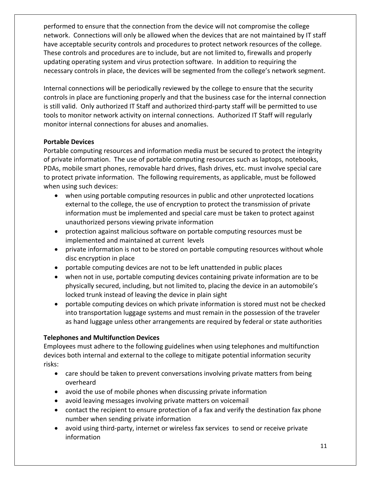performed to ensure that the connection from the device will not compromise the college network. Connections will only be allowed when the devices that are not maintained by IT staff have acceptable security controls and procedures to protect network resources of the college. These controls and procedures are to include, but are not limited to, firewalls and properly updating operating system and virus protection software. In addition to requiring the necessary controls in place, the devices will be segmented from the college's network segment.

Internal connections will be periodically reviewed by the college to ensure that the security controls in place are functioning properly and that the business case for the internal connection is still valid. Only authorized IT Staff and authorized third-party staff will be permitted to use tools to monitor network activity on internal connections. Authorized IT Staff will regularly monitor internal connections for abuses and anomalies.

#### **Portable Devices**

Portable computing resources and information media must be secured to protect the integrity of private information. The use of portable computing resources such as laptops, notebooks, PDAs, mobile smart phones, removable hard drives, flash drives, etc. must involve special care to protect private information. The following requirements, as applicable, must be followed when using such devices:

- when using portable computing resources in public and other unprotected locations external to the college, the use of encryption to protect the transmission of private information must be implemented and special care must be taken to protect against unauthorized persons viewing private information
- protection against malicious software on portable computing resources must be implemented and maintained at current levels
- private information is not to be stored on portable computing resources without whole disc encryption in place
- portable computing devices are not to be left unattended in public places
- when not in use, portable computing devices containing private information are to be physically secured, including, but not limited to, placing the device in an automobile's locked trunk instead of leaving the device in plain sight
- portable computing devices on which private information is stored must not be checked into transportation luggage systems and must remain in the possession of the traveler as hand luggage unless other arrangements are required by federal or state authorities

#### **Telephones and Multifunction Devices**

Employees must adhere to the following guidelines when using telephones and multifunction devices both internal and external to the college to mitigate potential information security risks:

- care should be taken to prevent conversations involving private matters from being overheard
- avoid the use of mobile phones when discussing private information
- avoid leaving messages involving private matters on voicemail
- contact the recipient to ensure protection of a fax and verify the destination fax phone number when sending private information
- avoid using third‐party, internet or wireless fax services to send or receive private information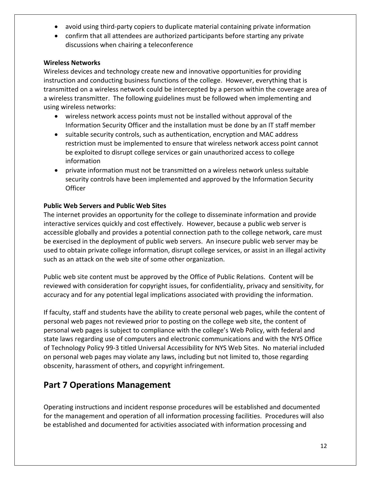- avoid using third‐party copiers to duplicate material containing private information
- confirm that all attendees are authorized participants before starting any private discussions when chairing a teleconference

#### **Wireless Networks**

Wireless devices and technology create new and innovative opportunities for providing instruction and conducting business functions of the college. However, everything that is transmitted on a wireless network could be intercepted by a person within the coverage area of a wireless transmitter. The following guidelines must be followed when implementing and using wireless networks:

- wireless network access points must not be installed without approval of the Information Security Officer and the installation must be done by an IT staff member
- suitable security controls, such as authentication, encryption and MAC address restriction must be implemented to ensure that wireless network access point cannot be exploited to disrupt college services or gain unauthorized access to college information
- private information must not be transmitted on a wireless network unless suitable security controls have been implemented and approved by the Information Security **Officer**

#### **Public Web Servers and Public Web Sites**

The internet provides an opportunity for the college to disseminate information and provide interactive services quickly and cost effectively. However, because a public web server is accessible globally and provides a potential connection path to the college network, care must be exercised in the deployment of public web servers. An insecure public web server may be used to obtain private college information, disrupt college services, or assist in an illegal activity such as an attack on the web site of some other organization.

Public web site content must be approved by the Office of Public Relations. Content will be reviewed with consideration for copyright issues, for confidentiality, privacy and sensitivity, for accuracy and for any potential legal implications associated with providing the information.

If faculty, staff and students have the ability to create personal web pages, while the content of personal web pages not reviewed prior to posting on the college web site, the content of personal web pages is subject to compliance with the college's Web Policy, with federal and state laws regarding use of computers and electronic communications and with the NYS Office of Technology Policy 99‐3 titled Universal Accessibility for NYS Web Sites. No material included on personal web pages may violate any laws, including but not limited to, those regarding obscenity, harassment of others, and copyright infringement.

## **Part 7 Operations Management**

Operating instructions and incident response procedures will be established and documented for the management and operation of all information processing facilities. Procedures will also be established and documented for activities associated with information processing and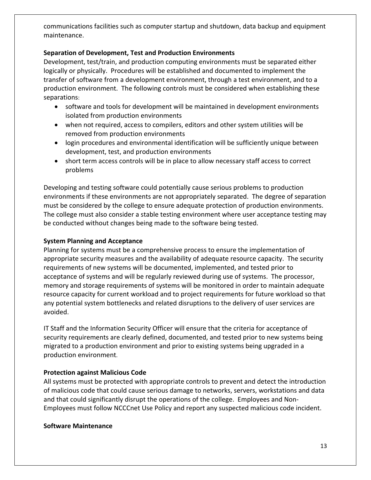communications facilities such as computer startup and shutdown, data backup and equipment maintenance.

#### **Separation of Development, Test and Production Environments**

Development, test/train, and production computing environments must be separated either logically or physically. Procedures will be established and documented to implement the transfer of software from a development environment, through a test environment, and to a production environment. The following controls must be considered when establishing these separations:

- software and tools for development will be maintained in development environments isolated from production environments
- when not required, access to compilers, editors and other system utilities will be removed from production environments
- login procedures and environmental identification will be sufficiently unique between development, test, and production environments
- short term access controls will be in place to allow necessary staff access to correct problems

Developing and testing software could potentially cause serious problems to production environments if these environments are not appropriately separated. The degree of separation must be considered by the college to ensure adequate protection of production environments. The college must also consider a stable testing environment where user acceptance testing may be conducted without changes being made to the software being tested.

#### **System Planning and Acceptance**

Planning for systems must be a comprehensive process to ensure the implementation of appropriate security measures and the availability of adequate resource capacity. The security requirements of new systems will be documented, implemented, and tested prior to acceptance of systems and will be regularly reviewed during use of systems. The processor, memory and storage requirements of systems will be monitored in order to maintain adequate resource capacity for current workload and to project requirements for future workload so that any potential system bottlenecks and related disruptions to the delivery of user services are avoided.

IT Staff and the Information Security Officer will ensure that the criteria for acceptance of security requirements are clearly defined, documented, and tested prior to new systems being migrated to a production environment and prior to existing systems being upgraded in a production environment.

#### **Protection against Malicious Code**

All systems must be protected with appropriate controls to prevent and detect the introduction of malicious code that could cause serious damage to networks, servers, workstations and data and that could significantly disrupt the operations of the college. Employees and Non‐ Employees must follow NCCCnet Use Policy and report any suspected malicious code incident.

#### **Software Maintenance**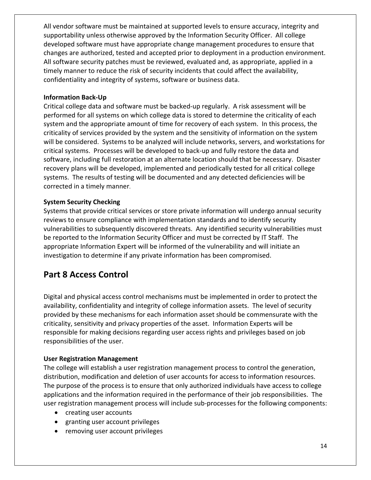All vendor software must be maintained at supported levels to ensure accuracy, integrity and supportability unless otherwise approved by the Information Security Officer. All college developed software must have appropriate change management procedures to ensure that changes are authorized, tested and accepted prior to deployment in a production environment. All software security patches must be reviewed, evaluated and, as appropriate, applied in a timely manner to reduce the risk of security incidents that could affect the availability, confidentiality and integrity of systems, software or business data.

#### **Information Back‐Up**

Critical college data and software must be backed‐up regularly. A risk assessment will be performed for all systems on which college data is stored to determine the criticality of each system and the appropriate amount of time for recovery of each system. In this process, the criticality of services provided by the system and the sensitivity of information on the system will be considered. Systems to be analyzed will include networks, servers, and workstations for critical systems. Processes will be developed to back‐up and fully restore the data and software, including full restoration at an alternate location should that be necessary. Disaster recovery plans will be developed, implemented and periodically tested for all critical college systems. The results of testing will be documented and any detected deficiencies will be corrected in a timely manner.

#### **System Security Checking**

Systems that provide critical services or store private information will undergo annual security reviews to ensure compliance with implementation standards and to identify security vulnerabilities to subsequently discovered threats. Any identified security vulnerabilities must be reported to the Information Security Officer and must be corrected by IT Staff. The appropriate Information Expert will be informed of the vulnerability and will initiate an investigation to determine if any private information has been compromised.

## **Part 8 Access Control**

Digital and physical access control mechanisms must be implemented in order to protect the availability, confidentiality and integrity of college information assets. The level of security provided by these mechanisms for each information asset should be commensurate with the criticality, sensitivity and privacy properties of the asset. Information Experts will be responsible for making decisions regarding user access rights and privileges based on job responsibilities of the user.

#### **User Registration Management**

The college will establish a user registration management process to control the generation, distribution, modification and deletion of user accounts for access to information resources. The purpose of the process is to ensure that only authorized individuals have access to college applications and the information required in the performance of their job responsibilities. The user registration management process will include sub-processes for the following components:

- creating user accounts
- granting user account privileges
- removing user account privileges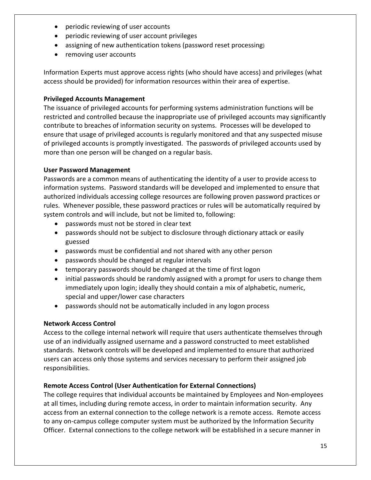- periodic reviewing of user accounts
- periodic reviewing of user account privileges
- assigning of new authentication tokens (password reset processing)
- removing user accounts

Information Experts must approve access rights (who should have access) and privileges (what access should be provided) for information resources within their area of expertise.

#### **Privileged Accounts Management**

The issuance of privileged accounts for performing systems administration functions will be restricted and controlled because the inappropriate use of privileged accounts may significantly contribute to breaches of information security on systems. Processes will be developed to ensure that usage of privileged accounts is regularly monitored and that any suspected misuse of privileged accounts is promptly investigated. The passwords of privileged accounts used by more than one person will be changed on a regular basis.

#### **User Password Management**

Passwords are a common means of authenticating the identity of a user to provide access to information systems. Password standards will be developed and implemented to ensure that authorized individuals accessing college resources are following proven password practices or rules. Whenever possible, these password practices or rules will be automatically required by system controls and will include, but not be limited to, following:

- passwords must not be stored in clear text
- passwords should not be subject to disclosure through dictionary attack or easily guessed
- passwords must be confidential and not shared with any other person
- passwords should be changed at regular intervals
- temporary passwords should be changed at the time of first logon
- initial passwords should be randomly assigned with a prompt for users to change them immediately upon login; ideally they should contain a mix of alphabetic, numeric, special and upper/lower case characters
- passwords should not be automatically included in any logon process

#### **Network Access Control**

Access to the college internal network will require that users authenticate themselves through use of an individually assigned username and a password constructed to meet established standards. Network controls will be developed and implemented to ensure that authorized users can access only those systems and services necessary to perform their assigned job responsibilities.

#### **Remote Access Control (User Authentication for External Connections)**

The college requires that individual accounts be maintained by Employees and Non‐employees at all times, including during remote access, in order to maintain information security. Any access from an external connection to the college network is a remote access. Remote access to any on‐campus college computer system must be authorized by the Information Security Officer. External connections to the college network will be established in a secure manner in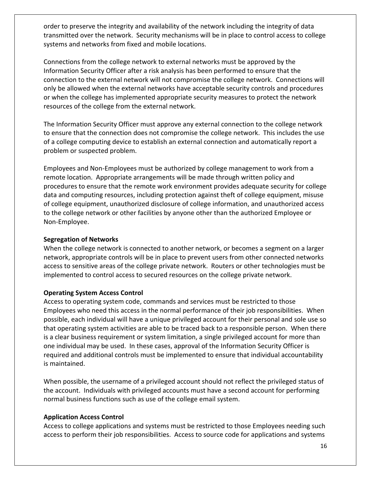order to preserve the integrity and availability of the network including the integrity of data transmitted over the network. Security mechanisms will be in place to control access to college systems and networks from fixed and mobile locations.

Connections from the college network to external networks must be approved by the Information Security Officer after a risk analysis has been performed to ensure that the connection to the external network will not compromise the college network. Connections will only be allowed when the external networks have acceptable security controls and procedures or when the college has implemented appropriate security measures to protect the network resources of the college from the external network.

The Information Security Officer must approve any external connection to the college network to ensure that the connection does not compromise the college network. This includes the use of a college computing device to establish an external connection and automatically report a problem or suspected problem.

Employees and Non‐Employees must be authorized by college management to work from a remote location. Appropriate arrangements will be made through written policy and procedures to ensure that the remote work environment provides adequate security for college data and computing resources, including protection against theft of college equipment, misuse of college equipment, unauthorized disclosure of college information, and unauthorized access to the college network or other facilities by anyone other than the authorized Employee or Non‐Employee.

#### **Segregation of Networks**

When the college network is connected to another network, or becomes a segment on a larger network, appropriate controls will be in place to prevent users from other connected networks access to sensitive areas of the college private network. Routers or other technologies must be implemented to control access to secured resources on the college private network.

#### **Operating System Access Control**

Access to operating system code, commands and services must be restricted to those Employees who need this access in the normal performance of their job responsibilities. When possible, each individual will have a unique privileged account for their personal and sole use so that operating system activities are able to be traced back to a responsible person. When there is a clear business requirement or system limitation, a single privileged account for more than one individual may be used. In these cases, approval of the Information Security Officer is required and additional controls must be implemented to ensure that individual accountability is maintained.

When possible, the username of a privileged account should not reflect the privileged status of the account. Individuals with privileged accounts must have a second account for performing normal business functions such as use of the college email system.

#### **Application Access Control**

Access to college applications and systems must be restricted to those Employees needing such access to perform their job responsibilities. Access to source code for applications and systems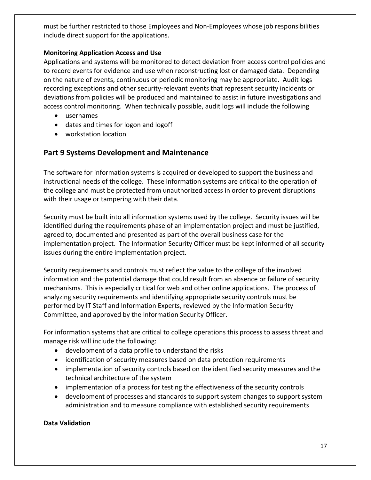must be further restricted to those Employees and Non‐Employees whose job responsibilities include direct support for the applications.

#### **Monitoring Application Access and Use**

Applications and systems will be monitored to detect deviation from access control policies and to record events for evidence and use when reconstructing lost or damaged data. Depending on the nature of events, continuous or periodic monitoring may be appropriate. Audit logs recording exceptions and other security‐relevant events that represent security incidents or deviations from policies will be produced and maintained to assist in future investigations and access control monitoring. When technically possible, audit logs will include the following

- usernames
- dates and times for logon and logoff
- workstation location

#### **Part 9 Systems Development and Maintenance**

The software for information systems is acquired or developed to support the business and instructional needs of the college. These information systems are critical to the operation of the college and must be protected from unauthorized access in order to prevent disruptions with their usage or tampering with their data.

Security must be built into all information systems used by the college. Security issues will be identified during the requirements phase of an implementation project and must be justified, agreed to, documented and presented as part of the overall business case for the implementation project. The Information Security Officer must be kept informed of all security issues during the entire implementation project.

Security requirements and controls must reflect the value to the college of the involved information and the potential damage that could result from an absence or failure of security mechanisms. This is especially critical for web and other online applications. The process of analyzing security requirements and identifying appropriate security controls must be performed by IT Staff and Information Experts, reviewed by the Information Security Committee, and approved by the Information Security Officer.

For information systems that are critical to college operations this process to assess threat and manage risk will include the following:

- development of a data profile to understand the risks
- identification of security measures based on data protection requirements
- implementation of security controls based on the identified security measures and the technical architecture of the system
- implementation of a process for testing the effectiveness of the security controls
- development of processes and standards to support system changes to support system administration and to measure compliance with established security requirements

#### **Data Validation**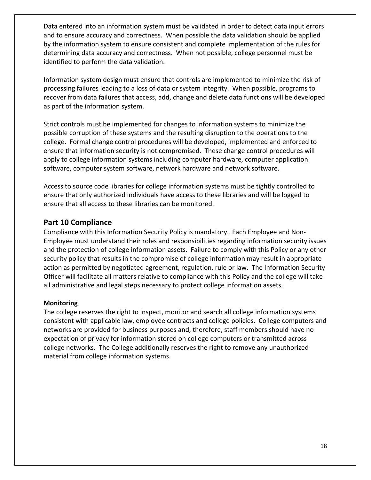Data entered into an information system must be validated in order to detect data input errors and to ensure accuracy and correctness. When possible the data validation should be applied by the information system to ensure consistent and complete implementation of the rules for determining data accuracy and correctness. When not possible, college personnel must be identified to perform the data validation.

Information system design must ensure that controls are implemented to minimize the risk of processing failures leading to a loss of data or system integrity. When possible, programs to recover from data failures that access, add, change and delete data functions will be developed as part of the information system.

Strict controls must be implemented for changes to information systems to minimize the possible corruption of these systems and the resulting disruption to the operations to the college. Formal change control procedures will be developed, implemented and enforced to ensure that information security is not compromised. These change control procedures will apply to college information systems including computer hardware, computer application software, computer system software, network hardware and network software.

Access to source code libraries for college information systems must be tightly controlled to ensure that only authorized individuals have access to these libraries and will be logged to ensure that all access to these libraries can be monitored.

#### **Part 10 Compliance**

Compliance with this Information Security Policy is mandatory. Each Employee and Non‐ Employee must understand their roles and responsibilities regarding information security issues and the protection of college information assets. Failure to comply with this Policy or any other security policy that results in the compromise of college information may result in appropriate action as permitted by negotiated agreement, regulation, rule or law. The Information Security Officer will facilitate all matters relative to compliance with this Policy and the college will take all administrative and legal steps necessary to protect college information assets.

#### **Monitoring**

The college reserves the right to inspect, monitor and search all college information systems consistent with applicable law, employee contracts and college policies. College computers and networks are provided for business purposes and, therefore, staff members should have no expectation of privacy for information stored on college computers or transmitted across college networks. The College additionally reserves the right to remove any unauthorized material from college information systems.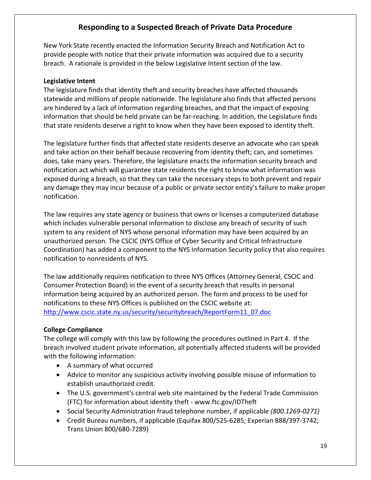#### **Responding to a Suspected Breach of Private Data Procedure**

New York State recently enacted the Information Security Breach and Notification Act to provide people with notice that their private information was acquired due to a security breach. A rationale is provided in the below Legislative Intent section of the law.

#### **Legislative Intent**

The legislature finds that identity theft and security breaches have affected thousands statewide and millions of people nationwide. The legislature also finds that affected persons are hindered by a lack of information regarding breaches, and that the impact of exposing information that should be held private can be far-reaching. In addition, the Legislature finds that state residents deserve a right to know when they have been exposed to identity theft.

The legislature further finds that affected state residents deserve an advocate who can speak and take action on their behalf because recovering from identity theft; can, and sometimes does, take many years. Therefore, the legislature enacts the information security breach and notification act which will guarantee state residents the right to know what information was exposed during a breach, so that they can take the necessary steps to both prevent and repair any damage they may incur because of a public or private sector entity's failure to make proper notification.

The law requires any state agency or business that owns or licenses a computerized database which includes vulnerable personal information to disclose any breach of security of such system to any resident of NYS whose personal information may have been acquired by an unauthorized person. The CSCIC (NYS Office of Cyber Security and Critical Infrastructure Coordination) has added a component to the NYS Information Security policy that also requires notification to nonresidents of NYS.

The law additionally requires notification to three NYS Offices (Attorney General, CSCIC and Consumer Protection Board) in the event of a security breach that results in personal information being acquired by an authorized person. The form and process to be used for notifications to these NYS Offices is published on the CSCIC website at: http://www.cscic.state.ny.us/security/securitybreach/ReportForm11\_07.doc

#### **College Compliance**

The college will comply with this law by following the procedures outlined in Part 4. If the breach involved student private information, all potentially affected students will be provided with the following information:

- A summary of what occurred
- Advice to monitor any suspicious activity involving possible misuse of information to establish unauthorized credit.
- The U.S. government's central web site maintained by the Federal Trade Commission (FTC) for information about identity theft ‐ www.ftc.gov/IDTheft
- Social Security Administration fraud telephone number, if applicable *(800.1269‐0271)*
- Credit Bureau numbers, if applicable (Equifax 800/525‐6285; Experian 888/397‐3742; Trans Union 800/680‐7289)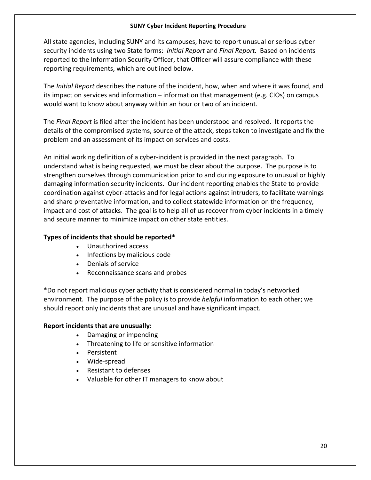#### **SUNY Cyber Incident Reporting Procedure**

All state agencies, including SUNY and its campuses, have to report unusual or serious cyber security incidents using two State forms: *Initial Report* and *Final Report.* Based on incidents reported to the Information Security Officer, that Officer will assure compliance with these reporting requirements, which are outlined below.

The *Initial Report* describes the nature of the incident, how, when and where it was found, and its impact on services and information – information that management (e.g. CIOs) on campus would want to know about anyway within an hour or two of an incident.

The *Final Report* is filed after the incident has been understood and resolved. It reports the details of the compromised systems, source of the attack, steps taken to investigate and fix the problem and an assessment of its impact on services and costs.

An initial working definition of a cyber‐incident is provided in the next paragraph. To understand what is being requested, we must be clear about the purpose. The purpose is to strengthen ourselves through communication prior to and during exposure to unusual or highly damaging information security incidents. Our incident reporting enables the State to provide coordination against cyber‐attacks and for legal actions against intruders, to facilitate warnings and share preventative information, and to collect statewide information on the frequency, impact and cost of attacks. The goal is to help all of us recover from cyber incidents in a timely and secure manner to minimize impact on other state entities.

#### **Types of incidents that should be reported\***

- Unauthorized access
- Infections by malicious code
- Denials of service
- Reconnaissance scans and probes

\*Do not report malicious cyber activity that is considered normal in today's networked environment. The purpose of the policy is to provide *helpful* information to each other; we should report only incidents that are unusual and have significant impact.

#### **Report incidents that are unusually:**

- Damaging or impending
- Threatening to life or sensitive information
- Persistent
- Wide‐spread
- Resistant to defenses
- Valuable for other IT managers to know about